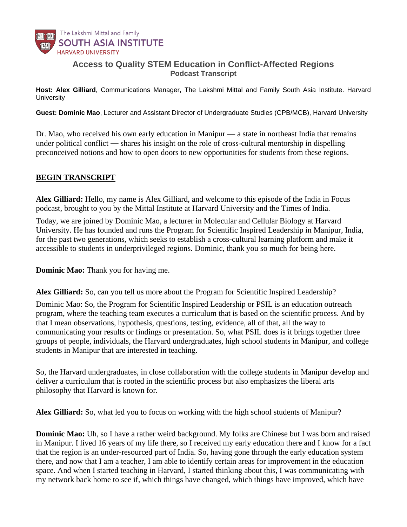

## **Access to Quality STEM Education in Conflict-Affected Regions** *Podcast Transcript*

**Host: Alex Gilliard***, Communications Manager, The Lakshmi Mittal and Family South Asia Institute. Harvard University*

**Guest: Dominic Mao**, *Lecturer and Assistant Director of Undergraduate Studies (CPB/MCB), Harvard University*

Dr. Mao, who received his own early education in Manipur — a state in northeast India that remains under political conflict — shares his insight on the role of cross-cultural mentorship in dispelling preconceived notions and how to open doors to new opportunities for students from these regions.

## **BEGIN TRANSCRIPT**

**Alex Gilliard:** Hello, my name is Alex Gilliard, and welcome to this episode of the India in Focus podcast, brought to you by the Mittal Institute at Harvard University and the Times of India.

Today, we are joined by Dominic Mao, a lecturer in Molecular and Cellular Biology at Harvard University. He has founded and runs the Program for Scientific Inspired Leadership in Manipur, India, for the past two generations, which seeks to establish a cross-cultural learning platform and make it accessible to students in underprivileged regions. Dominic, thank you so much for being here.

**Dominic Mao:** Thank you for having me.

**Alex Gilliard:** So, can you tell us more about the Program for Scientific Inspired Leadership?

Dominic Mao: So, the Program for Scientific Inspired Leadership or PSIL is an education outreach program, where the teaching team executes a curriculum that is based on the scientific process. And by that I mean observations, hypothesis, questions, testing, evidence, all of that, all the way to communicating your results or findings or presentation. So, what PSIL does is it brings together three groups of people, individuals, the Harvard undergraduates, high school students in Manipur, and college students in Manipur that are interested in teaching.

So, the Harvard undergraduates, in close collaboration with the college students in Manipur develop and deliver a curriculum that is rooted in the scientific process but also emphasizes the liberal arts philosophy that Harvard is known for.

**Alex Gilliard:** So, what led you to focus on working with the high school students of Manipur?

**Dominic Mao:** Uh, so I have a rather weird background. My folks are Chinese but I was born and raised in Manipur. I lived 16 years of my life there, so I received my early education there and I know for a fact that the region is an under-resourced part of India. So, having gone through the early education system there, and now that I am a teacher, I am able to identify certain areas for improvement in the education space. And when I started teaching in Harvard, I started thinking about this, I was communicating with my network back home to see if, which things have changed, which things have improved, which have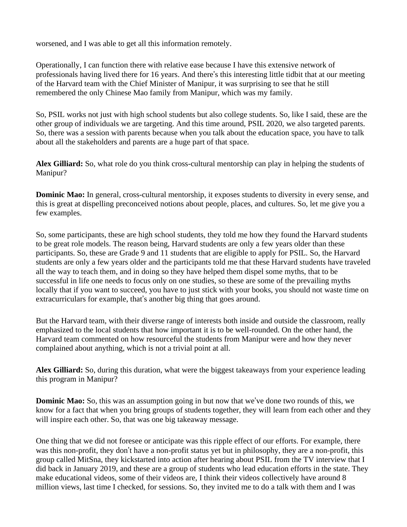worsened, and I was able to get all this information remotely.

Operationally, I can function there with relative ease because I have this extensive network of professionals having lived there for 16 years. And there's this interesting little tidbit that at our meeting of the Harvard team with the Chief Minister of Manipur, it was surprising to see that he still remembered the only Chinese Mao family from Manipur, which was my family.

So, PSIL works not just with high school students but also college students. So, like I said, these are the other group of individuals we are targeting. And this time around, PSIL 2020, we also targeted parents. So, there was a session with parents because when you talk about the education space, you have to talk about all the stakeholders and parents are a huge part of that space.

**Alex Gilliard:** So, what role do you think cross-cultural mentorship can play in helping the students of Manipur?

**Dominic Mao:** In general, cross-cultural mentorship, it exposes students to diversity in every sense, and this is great at dispelling preconceived notions about people, places, and cultures. So, let me give you a few examples.

So, some participants, these are high school students, they told me how they found the Harvard students to be great role models. The reason being, Harvard students are only a few years older than these participants. So, these are Grade 9 and 11 students that are eligible to apply for PSIL. So, the Harvard students are only a few years older and the participants told me that these Harvard students have traveled all the way to teach them, and in doing so they have helped them dispel some myths, that to be successful in life one needs to focus only on one studies, so these are some of the prevailing myths locally that if you want to succeed, you have to just stick with your books, you should not waste time on extracurriculars for example, that's another big thing that goes around.

But the Harvard team, with their diverse range of interests both inside and outside the classroom, really emphasized to the local students that how important it is to be well-rounded. On the other hand, the Harvard team commented on how resourceful the students from Manipur were and how they never complained about anything, which is not a trivial point at all.

**Alex Gilliard:** So, during this duration, what were the biggest takeaways from your experience leading this program in Manipur?

**Dominic Mao:** So, this was an assumption going in but now that we've done two rounds of this, we know for a fact that when you bring groups of students together, they will learn from each other and they will inspire each other. So, that was one big takeaway message.

One thing that we did not foresee or anticipate was this ripple effect of our efforts. For example, there was this non-profit, they don't have a non-profit status yet but in philosophy, they are a non-profit, this group called MitSna, they kickstarted into action after hearing about PSIL from the TV interview that I did back in January 2019, and these are a group of students who lead education efforts in the state. They make educational videos, some of their videos are, I think their videos collectively have around 8 million views, last time I checked, for sessions. So, they invited me to do a talk with them and I was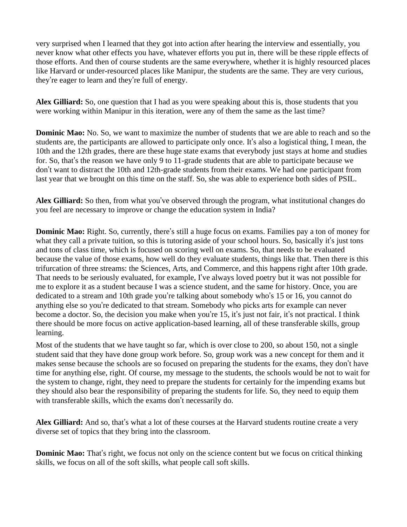very surprised when I learned that they got into action after hearing the interview and essentially, you never know what other effects you have, whatever efforts you put in, there will be these ripple effects of those efforts. And then of course students are the same everywhere, whether it is highly resourced places like Harvard or under-resourced places like Manipur, the students are the same. They are very curious, they're eager to learn and they're full of energy.

**Alex Gilliard:** So, one question that I had as you were speaking about this is, those students that you were working within Manipur in this iteration, were any of them the same as the last time?

**Dominic Mao:** No. So, we want to maximize the number of students that we are able to reach and so the students are, the participants are allowed to participate only once. It's also a logistical thing, I mean, the 10th and the 12th grades, there are these huge state exams that everybody just stays at home and studies for. So, that's the reason we have only 9 to 11-grade students that are able to participate because we don't want to distract the 10th and 12th-grade students from their exams. We had one participant from last year that we brought on this time on the staff. So, she was able to experience both sides of PSIL.

**Alex Gilliard:** So then, from what you've observed through the program, what institutional changes do you feel are necessary to improve or change the education system in India?

**Dominic Mao:** Right. So, currently, there's still a huge focus on exams. Families pay a ton of money for what they call a private tuition, so this is tutoring aside of your school hours. So, basically it's just tons and tons of class time, which is focused on scoring well on exams. So, that needs to be evaluated because the value of those exams, how well do they evaluate students, things like that. Then there is this trifurcation of three streams: the Sciences, Arts, and Commerce, and this happens right after 10th grade. That needs to be seriously evaluated, for example, I've always loved poetry but it was not possible for me to explore it as a student because I was a science student, and the same for history. Once, you are dedicated to a stream and 10th grade you're talking about somebody who's 15 or 16, you cannot do anything else so you're dedicated to that stream. Somebody who picks arts for example can never become a doctor. So, the decision you make when you're 15, it's just not fair, it's not practical. I think there should be more focus on active application-based learning, all of these transferable skills, group learning.

Most of the students that we have taught so far, which is over close to 200, so about 150, not a single student said that they have done group work before. So, group work was a new concept for them and it makes sense because the schools are so focused on preparing the students for the exams, they don't have time for anything else, right. Of course, my message to the students, the schools would be not to wait for the system to change, right, they need to prepare the students for certainly for the impending exams but they should also bear the responsibility of preparing the students for life. So, they need to equip them with transferable skills, which the exams don't necessarily do.

**Alex Gilliard:** And so, that's what a lot of these courses at the Harvard students routine create a very diverse set of topics that they bring into the classroom.

**Dominic Mao:** That's right, we focus not only on the science content but we focus on critical thinking skills, we focus on all of the soft skills, what people call soft skills.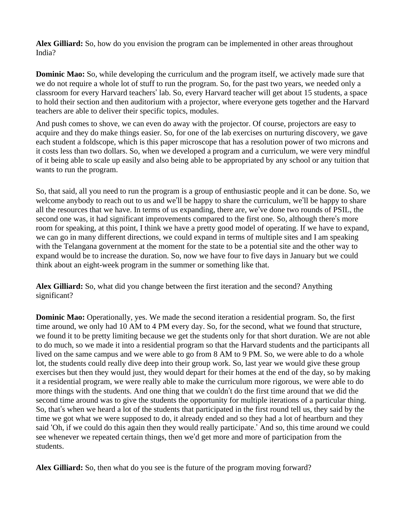**Alex Gilliard:** So, how do you envision the program can be implemented in other areas throughout India?

**Dominic Mao:** So, while developing the curriculum and the program itself, we actively made sure that we do not require a whole lot of stuff to run the program. So, for the past two years, we needed only a classroom for every Harvard teachers' lab. So, every Harvard teacher will get about 15 students, a space to hold their section and then auditorium with a projector, where everyone gets together and the Harvard teachers are able to deliver their specific topics, modules.

And push comes to shove, we can even do away with the projector. Of course, projectors are easy to acquire and they do make things easier. So, for one of the lab exercises on nurturing discovery, we gave each student a foldscope, which is this paper microscope that has a resolution power of two microns and it costs less than two dollars. So, when we developed a program and a curriculum, we were very mindful of it being able to scale up easily and also being able to be appropriated by any school or any tuition that wants to run the program.

So, that said, all you need to run the program is a group of enthusiastic people and it can be done. So, we welcome anybody to reach out to us and we'll be happy to share the curriculum, we'll be happy to share all the resources that we have. In terms of us expanding, there are, we've done two rounds of PSIL, the second one was, it had significant improvements compared to the first one. So, although there's more room for speaking, at this point, I think we have a pretty good model of operating. If we have to expand, we can go in many different directions, we could expand in terms of multiple sites and I am speaking with the Telangana government at the moment for the state to be a potential site and the other way to expand would be to increase the duration. So, now we have four to five days in January but we could think about an eight-week program in the summer or something like that.

**Alex Gilliard:** So, what did you change between the first iteration and the second? Anything significant?

**Dominic Mao:** Operationally, yes. We made the second iteration a residential program. So, the first time around, we only had 10 AM to 4 PM every day. So, for the second, what we found that structure, we found it to be pretty limiting because we get the students only for that short duration. We are not able to do much, so we made it into a residential program so that the Harvard students and the participants all lived on the same campus and we were able to go from 8 AM to 9 PM. So, we were able to do a whole lot, the students could really dive deep into their group work. So, last year we would give these group exercises but then they would just, they would depart for their homes at the end of the day, so by making it a residential program, we were really able to make the curriculum more rigorous, we were able to do more things with the students. And one thing that we couldn't do the first time around that we did the second time around was to give the students the opportunity for multiple iterations of a particular thing. So, that's when we heard a lot of the students that participated in the first round tell us, they said by the time we got what we were supposed to do, it already ended and so they had a lot of heartburn and they said 'Oh, if we could do this again then they would really participate.' And so, this time around we could see whenever we repeated certain things, then we'd get more and more of participation from the students.

**Alex Gilliard:** So, then what do you see is the future of the program moving forward?